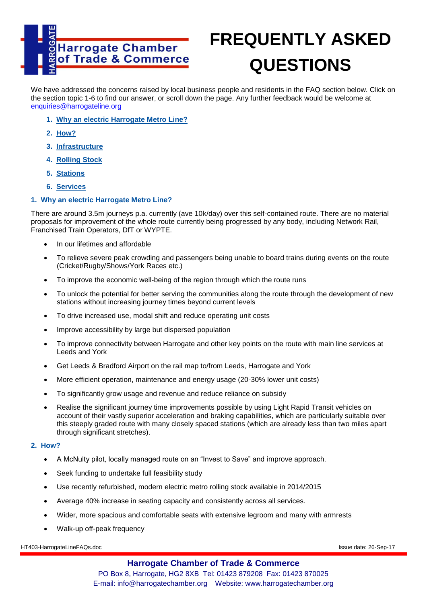

# **FREQUENTLY ASKED QUESTIONS**

We have addressed the concerns raised by local business people and residents in the FAQ section below. Click on the section topic 1-6 to find our answer, or scroll down the page. Any further feedback would be welcome at [enquiries@harrogateline.org](mailto:enquiries@harrogateline.org)

- **1. [Why an electric Harrogate Metro Line?](../../../Users/Perlex/Documents/My%20Webs/HarrogateLine/harrogateline_faq1.htm#Why_an_electric_Harrogate_Metro_Line)**
- **2. [How?](../../../Users/Perlex/Documents/My%20Webs/HarrogateLine/harrogateline_faq1.htm#How)**
- **3. [Infrastructure](../../../Users/Perlex/Documents/My%20Webs/HarrogateLine/harrogateline_faq1.htm#Infrastructure)**
- **4. [Rolling Stock](../../../Users/Perlex/Documents/My%20Webs/HarrogateLine/harrogateline_faq1.htm#Rolling Stock)**
- **5. [Stations](../../../Users/Perlex/Documents/My%20Webs/HarrogateLine/harrogateline_faq1.htm#Stations)**
- **6. [Services](../../../Users/Perlex/Documents/My%20Webs/HarrogateLine/harrogateline_faq1.htm#Services)**

# **1. Why an electric Harrogate Metro Line?**

There are around 3.5m journeys p.a. currently (ave 10k/day) over this self-contained route. There are no material proposals for improvement of the whole route currently being progressed by any body, including Network Rail, Franchised Train Operators, DfT or WYPTE.

- In our lifetimes and affordable
- To relieve severe peak crowding and passengers being unable to board trains during events on the route (Cricket/Rugby/Shows/York Races etc.)
- To improve the economic well-being of the region through which the route runs
- To unlock the potential for better serving the communities along the route through the development of new stations without increasing journey times beyond current levels
- To drive increased use, modal shift and reduce operating unit costs
- Improve accessibility by large but dispersed population
- To improve connectivity between Harrogate and other key points on the route with main line services at Leeds and York
- Get Leeds & Bradford Airport on the rail map to/from Leeds, Harrogate and York
- More efficient operation, maintenance and energy usage (20-30% lower unit costs)
- To significantly grow usage and revenue and reduce reliance on subsidy
- Realise the significant journey time improvements possible by using Light Rapid Transit vehicles on account of their vastly superior acceleration and braking capabilities, which are particularly suitable over this steeply graded route with many closely spaced stations (which are already less than two miles apart through significant stretches).

#### **2. How?**

- A McNulty pilot, locally managed route on an "Invest to Save" and improve approach.
- Seek funding to undertake full feasibility study
- Use recently refurbished, modern electric metro rolling stock available in 2014/2015
- Average 40% increase in seating capacity and consistently across all services.
- Wider, more spacious and comfortable seats with extensive legroom and many with armrests
- Walk-up off-peak frequency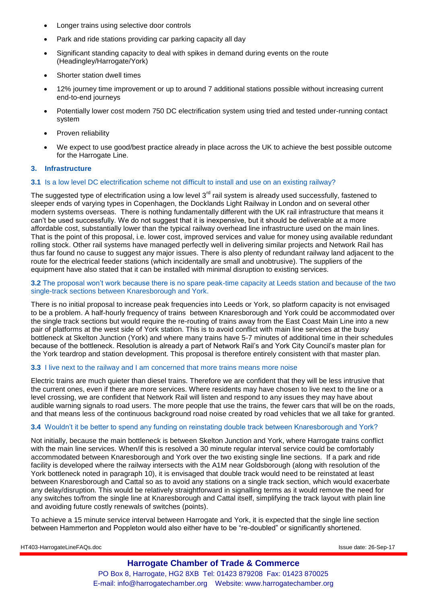- Longer trains using selective door controls
- Park and ride stations providing car parking capacity all day
- Significant standing capacity to deal with spikes in demand during events on the route (Headingley/Harrogate/York)
- Shorter station dwell times
- 12% journey time improvement or up to around 7 additional stations possible without increasing current end-to-end journeys
- Potentially lower cost modern 750 DC electrification system using tried and tested under-running contact system
- Proven reliability
- We expect to use good/best practice already in place across the UK to achieve the best possible outcome for the Harrogate Line.

#### **3. Infrastructure**

### **3.1** Is a low level DC electrification scheme not difficult to install and use on an existing railway?

The suggested type of electrification using a low level  $3<sup>rd</sup>$  rail system is already used successfully, fastened to sleeper ends of varying types in Copenhagen, the Docklands Light Railway in London and on several other modern systems overseas. There is nothing fundamentally different with the UK rail infrastructure that means it can't be used successfully. We do not suggest that it is inexpensive, but it should be deliverable at a more affordable cost, substantially lower than the typical railway overhead line infrastructure used on the main lines. That is the point of this proposal, i.e. lower cost, improved services and value for money using available redundant rolling stock. Other rail systems have managed perfectly well in delivering similar projects and Network Rail has thus far found no cause to suggest any major issues. There is also plenty of redundant railway land adjacent to the route for the electrical feeder stations (which incidentally are small and unobtrusive). The suppliers of the equipment have also stated that it can be installed with minimal disruption to existing services.

**3.2** The proposal won't work because there is no spare peak-time capacity at Leeds station and because of the two single-track sections between Knaresborough and York.

There is no initial proposal to increase peak frequencies into Leeds or York, so platform capacity is not envisaged to be a problem. A half-hourly frequency of trains between Knaresborough and York could be accommodated over the single track sections but would require the re-routing of trains away from the East Coast Main Line into a new pair of platforms at the west side of York station. This is to avoid conflict with main line services at the busy bottleneck at Skelton Junction (York) and where many trains have 5-7 minutes of additional time in their schedules because of the bottleneck. Resolution is already a part of Network Rail's and York City Council's master plan for the York teardrop and station development. This proposal is therefore entirely consistent with that master plan.

#### **3.3** I live next to the railway and I am concerned that more trains means more noise

Electric trains are much quieter than diesel trains. Therefore we are confident that they will be less intrusive that the current ones, even if there are more services. Where residents may have chosen to live next to the line or a level crossing, we are confident that Network Rail will listen and respond to any issues they may have about audible warning signals to road users. The more people that use the trains, the fewer cars that will be on the roads, and that means less of the continuous background road noise created by road vehicles that we all take for granted.

#### **3.4** Wouldn't it be better to spend any funding on reinstating double track between Knaresborough and York?

Not initially, because the main bottleneck is between Skelton Junction and York, where Harrogate trains conflict with the main line services. When/if this is resolved a 30 minute regular interval service could be comfortably accommodated between Knaresborough and York over the two existing single line sections. If a park and ride facility is developed where the railway intersects with the A1M near Goldsborough (along with resolution of the York bottleneck noted in paragraph 10), it is envisaged that double track would need to be reinstated at least between Knaresborough and Cattal so as to avoid any stations on a single track section, which would exacerbate any delay/disruption. This would be relatively straightforward in signalling terms as it would remove the need for any switches to/from the single line at Knaresborough and Cattal itself, simplifying the track layout with plain line and avoiding future costly renewals of switches (points).

To achieve a 15 minute service interval between Harrogate and York, it is expected that the single line section between Hammerton and Poppleton would also either have to be "re-doubled" or significantly shortened.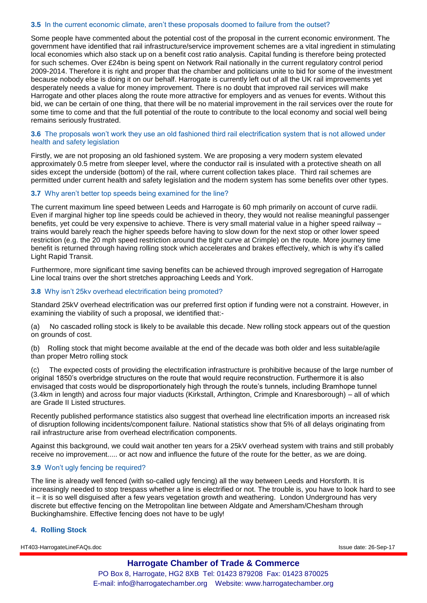### **3.5** In the current economic climate, aren't these proposals doomed to failure from the outset?

Some people have commented about the potential cost of the proposal in the current economic environment. The government have identified that rail infrastructure/service improvement schemes are a vital ingredient in stimulating local economies which also stack up on a benefit cost ratio analysis. Capital funding is therefore being protected for such schemes. Over £24bn is being spent on Network Rail nationally in the current regulatory control period 2009-2014. Therefore it is right and proper that the chamber and politicians unite to bid for some of the investment because nobody else is doing it on our behalf. Harrogate is currently left out of all the UK rail improvements yet desperately needs a value for money improvement. There is no doubt that improved rail services will make Harrogate and other places along the route more attractive for employers and as venues for events. Without this bid, we can be certain of one thing, that there will be no material improvement in the rail services over the route for some time to come and that the full potential of the route to contribute to the local economy and social well being remains seriously frustrated.

#### **3.6** The proposals won't work they use an old fashioned third rail electrification system that is not allowed under health and safety legislation

Firstly, we are not proposing an old fashioned system. We are proposing a very modern system elevated approximately 0.5 metre from sleeper level, where the conductor rail is insulated with a protective sheath on all sides except the underside (bottom) of the rail, where current collection takes place. Third rail schemes are permitted under current health and safety legislation and the modern system has some benefits over other types.

# **3.7** Why aren't better top speeds being examined for the line?

The current maximum line speed between Leeds and Harrogate is 60 mph primarily on account of curve radii. Even if marginal higher top line speeds could be achieved in theory, they would not realise meaningful passenger benefits, yet could be very expensive to achieve. There is very small material value in a higher speed railway – trains would barely reach the higher speeds before having to slow down for the next stop or other lower speed restriction (e.g. the 20 mph speed restriction around the tight curve at Crimple) on the route. More journey time benefit is returned through having rolling stock which accelerates and brakes effectively, which is why it's called Light Rapid Transit.

Furthermore, more significant time saving benefits can be achieved through improved segregation of Harrogate Line local trains over the short stretches approaching Leeds and York.

### **3.8** Why isn't 25kv overhead electrification being promoted?

Standard 25kV overhead electrification was our preferred first option if funding were not a constraint. However, in examining the viability of such a proposal, we identified that:-

(a) No cascaded rolling stock is likely to be available this decade. New rolling stock appears out of the question on grounds of cost.

(b) Rolling stock that might become available at the end of the decade was both older and less suitable/agile than proper Metro rolling stock

(c) The expected costs of providing the electrification infrastructure is prohibitive because of the large number of original 1850's overbridge structures on the route that would require reconstruction. Furthermore it is also envisaged that costs would be disproportionately high through the route's tunnels, including Bramhope tunnel (3.4km in length) and across four major viaducts (Kirkstall, Arthington, Crimple and Knaresborough) – all of which are Grade II Listed structures.

Recently published performance statistics also suggest that overhead line electrification imports an increased risk of disruption following incidents/component failure. National statistics show that 5% of all delays originating from rail infrastructure arise from overhead electrification components.

Against this background, we could wait another ten years for a 25kV overhead system with trains and still probably receive no improvement..... or act now and influence the future of the route for the better, as we are doing.

# **3.9** Won't ugly fencing be required?

The line is already well fenced (with so-called ugly fencing) all the way between Leeds and Horsforth. It is increasingly needed to stop trespass whether a line is electrified or not. The trouble is, you have to look hard to see it – it is so well disguised after a few years vegetation growth and weathering. London Underground has very discrete but effective fencing on the Metropolitan line between Aldgate and Amersham/Chesham through Buckinghamshire. Effective fencing does not have to be ugly!

# **4. Rolling Stock**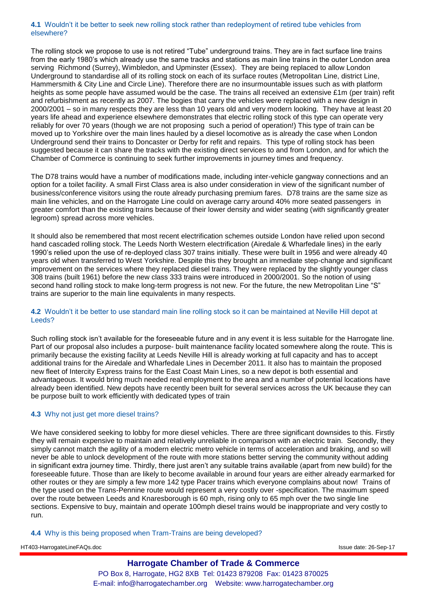#### **4.1** Wouldn't it be better to seek new rolling stock rather than redeployment of retired tube vehicles from elsewhere?

The rolling stock we propose to use is not retired "Tube" underground trains. They are in fact surface line trains from the early 1980's which already use the same tracks and stations as main line trains in the outer London area serving Richmond (Surrey), Wimbledon, and Upminster (Essex). They are being replaced to allow London Underground to standardise all of its rolling stock on each of its surface routes (Metropolitan Line, district Line, Hammersmith & City Line and Circle Line). Therefore there are no insurmountable issues such as with platform heights as some people have assumed would be the case. The trains all received an extensive £1m (per train) refit and refurbishment as recently as 2007. The bogies that carry the vehicles were replaced with a new design in 2000/2001 – so in many respects they are less than 10 years old and very modern looking. They have at least 20 years life ahead and experience elsewhere demonstrates that electric rolling stock of this type can operate very reliably for over 70 years (though we are not proposing such a period of operation!) This type of train can be moved up to Yorkshire over the main lines hauled by a diesel locomotive as is already the case when London Underground send their trains to Doncaster or Derby for refit and repairs. This type of rolling stock has been suggested because it can share the tracks with the existing direct services to and from London, and for which the Chamber of Commerce is continuing to seek further improvements in journey times and frequency.

The D78 trains would have a number of modifications made, including inter-vehicle gangway connections and an option for a toilet facility. A small First Class area is also under consideration in view of the significant number of business/conference visitors using the route already purchasing premium fares. D78 trains are the same size as main line vehicles, and on the Harrogate Line could on average carry around 40% more seated passengers in greater comfort than the existing trains because of their lower density and wider seating (with significantly greater legroom) spread across more vehicles.

It should also be remembered that most recent electrification schemes outside London have relied upon second hand cascaded rolling stock. The Leeds North Western electrification (Airedale & Wharfedale lines) in the early 1990's relied upon the use of re-deployed class 307 trains initially. These were built in 1956 and were already 40 years old when transferred to West Yorkshire. Despite this they brought an immediate step-change and significant improvement on the services where they replaced diesel trains. They were replaced by the slightly younger class 308 trains (built 1961) before the new class 333 trains were introduced in 2000/2001. So the notion of using second hand rolling stock to make long-term progress is not new. For the future, the new Metropolitan Line "S" trains are superior to the main line equivalents in many respects.

### **4.2** Wouldn't it be better to use standard main line rolling stock so it can be maintained at Neville Hill depot at Leeds?

Such rolling stock isn't available for the foreseeable future and in any event it is less suitable for the Harrogate line. Part of our proposal also includes a purpose- built maintenance facility located somewhere along the route. This is primarily because the existing facility at Leeds Neville Hill is already working at full capacity and has to accept additional trains for the Airedale and Wharfedale Lines in December 2011. It also has to maintain the proposed new fleet of Intercity Express trains for the East Coast Main Lines, so a new depot is both essential and advantageous. It would bring much needed real employment to the area and a number of potential locations have already been identified. New depots have recently been built for several services across the UK because they can be purpose built to work efficiently with dedicated types of train

# **4.3** Why not just get more diesel trains?

We have considered seeking to lobby for more diesel vehicles. There are three significant downsides to this. Firstly they will remain expensive to maintain and relatively unreliable in comparison with an electric train. Secondly, they simply cannot match the agility of a modern electric metro vehicle in terms of acceleration and braking, and so will never be able to unlock development of the route with more stations better serving the community without adding in significant extra journey time. Thirdly, there just aren't any suitable trains available (apart from new build) for the foreseeable future. Those than are likely to become available in around four years are either already earmarked for other routes or they are simply a few more 142 type Pacer trains which everyone complains about now! Trains of the type used on the Trans-Pennine route would represent a very costly over -specification. The maximum speed over the route between Leeds and Knaresborough is 60 mph, rising only to 65 mph over the two single line sections. Expensive to buy, maintain and operate 100mph diesel trains would be inappropriate and very costly to run.

# **4.4** Why is this being proposed when Tram-Trains are being developed?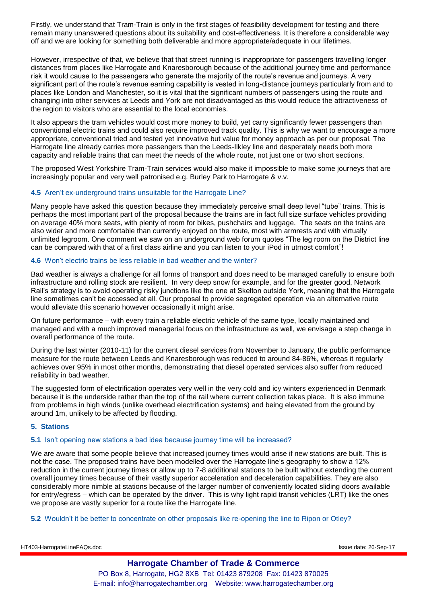Firstly, we understand that Tram-Train is only in the first stages of feasibility development for testing and there remain many unanswered questions about its suitability and cost-effectiveness. It is therefore a considerable way off and we are looking for something both deliverable and more appropriate/adequate in our lifetimes.

However, irrespective of that, we believe that that street running is inappropriate for passengers travelling longer distances from places like Harrogate and Knaresborough because of the additional journey time and performance risk it would cause to the passengers who generate the majority of the route's revenue and journeys. A very significant part of the route's revenue earning capability is vested in long-distance journeys particularly from and to places like London and Manchester, so it is vital that the significant numbers of passengers using the route and changing into other services at Leeds and York are not disadvantaged as this would reduce the attractiveness of the region to visitors who are essential to the local economies.

It also appears the tram vehicles would cost more money to build, yet carry significantly fewer passengers than conventional electric trains and could also require improved track quality. This is why we want to encourage a more appropriate, conventional tried and tested yet innovative but value for money approach as per our proposal. The Harrogate line already carries more passengers than the Leeds-Ilkley line and desperately needs both more capacity and reliable trains that can meet the needs of the whole route, not just one or two short sections.

The proposed West Yorkshire Tram-Train services would also make it impossible to make some journeys that are increasingly popular and very well patronised e.g. Burley Park to Harrogate & v.v.

# **4.5** Aren't ex-underground trains unsuitable for the Harrogate Line?

Many people have asked this question because they immediately perceive small deep level "tube" trains. This is perhaps the most important part of the proposal because the trains are in fact full size surface vehicles providing on average 40% more seats, with plenty of room for bikes, pushchairs and luggage. The seats on the trains are also wider and more comfortable than currently enjoyed on the route, most with armrests and with virtually unlimited legroom. One comment we saw on an underground web forum quotes "The leg room on the District line can be compared with that of a first class airline and you can listen to your iPod in utmost comfort"!

# **4.6** Won't electric trains be less reliable in bad weather and the winter?

Bad weather is always a challenge for all forms of transport and does need to be managed carefully to ensure both infrastructure and rolling stock are resilient. In very deep snow for example, and for the greater good, Network Rail's strategy is to avoid operating risky junctions like the one at Skelton outside York, meaning that the Harrogate line sometimes can't be accessed at all. Our proposal to provide segregated operation via an alternative route would alleviate this scenario however occasionally it might arise.

On future performance – with every train a reliable electric vehicle of the same type, locally maintained and managed and with a much improved managerial focus on the infrastructure as well, we envisage a step change in overall performance of the route.

During the last winter (2010-11) for the current diesel services from November to January, the public performance measure for the route between Leeds and Knaresborough was reduced to around 84-86%, whereas it regularly achieves over 95% in most other months, demonstrating that diesel operated services also suffer from reduced reliability in bad weather.

The suggested form of electrification operates very well in the very cold and icy winters experienced in Denmark because it is the underside rather than the top of the rail where current collection takes place. It is also immune from problems in high winds (unlike overhead electrification systems) and being elevated from the ground by around 1m, unlikely to be affected by flooding.

# **5. Stations**

#### **5.1** Isn't opening new stations a bad idea because journey time will be increased?

We are aware that some people believe that increased journey times would arise if new stations are built. This is not the case. The proposed trains have been modelled over the Harrogate line's geography to show a 12% reduction in the current journey times or allow up to 7-8 additional stations to be built without extending the current overall journey times because of their vastly superior acceleration and deceleration capabilities. They are also considerably more nimble at stations because of the larger number of conveniently located sliding doors available for entry/egress – which can be operated by the driver. This is why light rapid transit vehicles (LRT) like the ones we propose are vastly superior for a route like the Harrogate line.

#### **5.2** Wouldn't it be better to concentrate on other proposals like re-opening the line to Ripon or Otley?